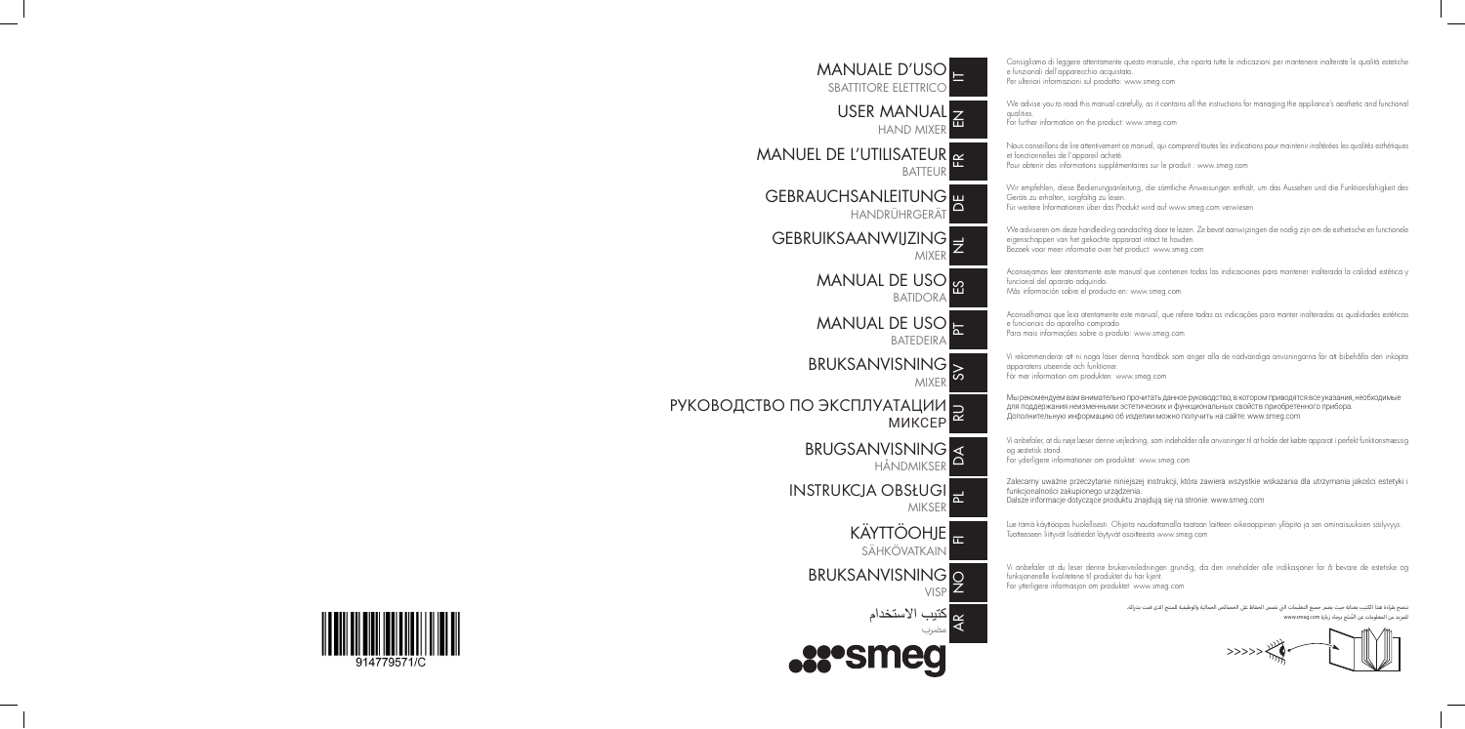MANUALE D'USO $_\blacksquare$ SBATTITORE ELETTRICO USER MANUAL HAND MIXER MANUEL DE L'UTILISATEUR <mark><sub>F</sub></mark> **BATTEU** GEBRAUCHSANLEITUNG P HANDRÜHRGERÄT GEBRUIKSAANWIJZING Z MIXER MANUAL DE USO <mark>မှ</mark> BATIDORA MANUAL DE USO <mark>—</mark> **BATEDEIRA** BRUKSANVISNING MIXER РУКОВОДСТВО ПО ЭКСПЛУАТАЦИИ <mark>—</mark> МИКСЕР BRUGSANVISNING HÅNDMIKSER INSTRUKCJA OBSŁUGI **MIKSER** KAYTTOOHJE <sub>In</sub> SÄHKÖVATKAIN BRUKSANVISNING O **VISF** يم كتيب الاستخدام<br>كه <sub>مضين</sub> مضرب **REPSMED** 



Consigliamo di leggere attentamente questo manuale, che riporta tutte le indicazioni per mantenere inalterate le qualità estetiche e funzionali dell'apparecchio acquistato.

Per ulteriori informazioni sul prodotto: www.smeg.com

We advise you to read this manual carefully, as it contains all the instructions for managing the appliance's aesthetic and functional qualities.

For further information on the product: www.smeg.com

Nous conseillons de lire attentivement ce manuel, qui comprend toutes les indications pour maintenir inaltérées les qualités esthétiques et fonctionnelles de l'appareil acheté.

Pour obtenir des informations supplémentaires sur le produit : www.smeg.com

Wir empfehlen, diese Bedienungsanleitung, die sämtliche Anweisungen enthält, um das Aussehen und die Funktionsfähigkeit des Geräts zu erhalten, sorgfältig zu lesen.

Für weitere Informationen über das Produkt wird auf www.smeg.com verwiesen

We adviseren om deze handleiding aandachtig door te lezen. Ze bevat aanwijzingen die nodig zijn om de esthetische en functionele eigenschappen van het gekochte apparaat intact te houden. Bezoek voor meer informatie over het product: www.smeg.com

Aconsejamos leer atentamente este manual que contienen todas las indicaciones para mantener inalterada la calidad estética y funcional del aparato adquirido.

Más información sobre el producto en: www.smeg.com

Aconselhamos que leia atentamente este manual, que refere todas as indicações para manter inalteradas as qualidades estéticas e funcionais do aparelho comprado.

Para mais informações sobre o produto: www.smeg.com

Vi rekommenderar att ni noga läser denna handbok som anger alla de nödvändiga anvisningarna för att bibehålla den inköpta apparatens utseende och funktioner.

För mer information om produkten: www.smeg.com

Мы рекомендуем вам внимательно прочитать данное руководство, в котором приводятся все указания, необходимые для поддержания неизменными эстетических и функциональных свойств приобретенного прибора. Дополнительную информацию об изделии можно получить на сайте: www.smeg.com

Vi anbefaler, at du nøje læser denne vejledning, som indeholder alle anvisninger til at holde det købte apparat i perfekt funktionsmæssig og æstetisk stand.

For yderligere informationer om produktet: www.smeg.com

Zalecamy uważne przeczytanie niniejszej instrukcji, która zawiera wszystkie wskazania dla utrzymania jakości estetyki i funkcjonalności zakupionego urządzenia.

Dalsze informacje dotyczące produktu znajdują się na stronie: www.smeg.com

Lue tämä käyttöopas huolellisesti. Ohjeita noudattamalla taataan laitteen oikeaoppinen ylläpito ja sen ominaisuuksien säilyvyys. Tuotteeseen liittyvät lisätiedot löytyvät osoitteesta www.smeg.com

Vi anbefaler at du leser denne brukerveiledningen grundig, da den inneholder alle indikasjoner for å bevare de estetiske og funksjonenelle kvalitetene til produktet du har kjent.

For ytterligere informasjon om produktet: www.smeg.com

ننصح بقراءة هذا الكتيب بعناية حيث يضمر جميع التعليمات التي تضمن الحفاظ على الخصائص الجمالية والوظيفية للمنتج الذي قمت بشرائه. للمزيد من المعلومات عن المُنتَج برجاء زيارة www.smeg.com